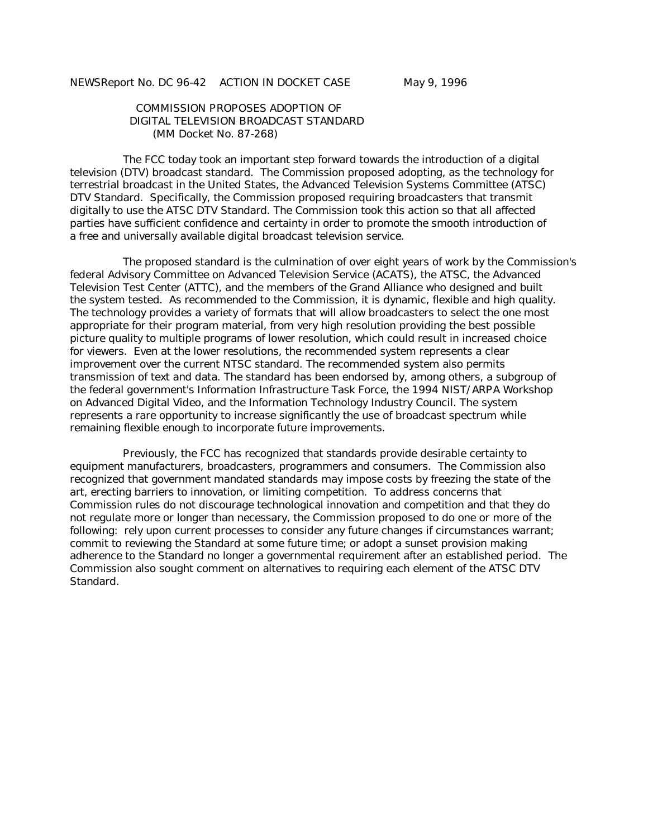NEWSReport No. DC 96-42 ACTION IN DOCKET CASE May 9, 1996

 COMMISSION PROPOSES ADOPTION OF DIGITAL TELEVISION BROADCAST STANDARD (MM Docket No. 87-268)

 The FCC today took an important step forward towards the introduction of a digital television (DTV) broadcast standard. The Commission proposed adopting, as the technology for terrestrial broadcast in the United States, the Advanced Television Systems Committee (ATSC) DTV Standard. Specifically, the Commission proposed requiring broadcasters that transmit digitally to use the ATSC DTV Standard. The Commission took this action so that all affected parties have sufficient confidence and certainty in order to promote the smooth introduction of a free and universally available digital broadcast television service.

 The proposed standard is the culmination of over eight years of work by the Commission's federal Advisory Committee on Advanced Television Service (ACATS), the ATSC, the Advanced Television Test Center (ATTC), and the members of the Grand Alliance who designed and built the system tested. As recommended to the Commission, it is dynamic, flexible and high quality. The technology provides a variety of formats that will allow broadcasters to select the one most appropriate for their program material, from very high resolution providing the best possible picture quality to multiple programs of lower resolution, which could result in increased choice for viewers. Even at the lower resolutions, the recommended system represents a clear improvement over the current NTSC standard. The recommended system also permits transmission of text and data. The standard has been endorsed by, among others, a subgroup of the federal government's Information Infrastructure Task Force, the 1994 NIST/ARPA Workshop on Advanced Digital Video, and the Information Technology Industry Council. The system represents a rare opportunity to increase significantly the use of broadcast spectrum while remaining flexible enough to incorporate future improvements.

 Previously, the FCC has recognized that standards provide desirable certainty to equipment manufacturers, broadcasters, programmers and consumers. The Commission also recognized that government mandated standards may impose costs by freezing the state of the art, erecting barriers to innovation, or limiting competition. To address concerns that Commission rules do not discourage technological innovation and competition and that they do not regulate more or longer than necessary, the Commission proposed to do one or more of the following: rely upon current processes to consider any future changes if circumstances warrant; commit to reviewing the Standard at some future time; or adopt a sunset provision making adherence to the Standard no longer a governmental requirement after an established period. The Commission also sought comment on alternatives to requiring each element of the ATSC DTV Standard.